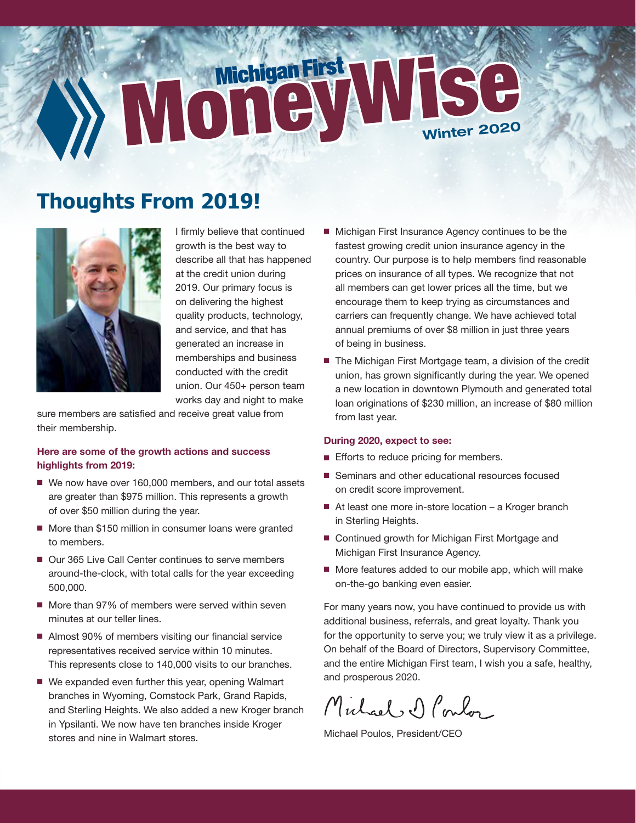# MoneyWISe

# **Thoughts From 2019!**



I frmly believe that continued growth is the best way to describe all that has happened at the credit union during 2019. Our primary focus is on delivering the highest quality products, technology, and service, and that has generated an increase in memberships and business conducted with the credit union. Our 450+ person team works day and night to make

sure members are satisfied and receive great value from their membership.

### Here are some of the growth actions and success highlights from 2019:

- We now have over 160,000 members, and our total assets are greater than \$975 million. This represents a growth of over \$50 million during the year.
- More than \$150 million in consumer loans were granted to members.
- Our 365 Live Call Center continues to serve members around-the-clock, with total calls for the year exceeding 500,000.
- More than 97% of members were served within seven minutes at our teller lines.
- Almost 90% of members visiting our financial service representatives received service within 10 minutes. This represents close to 140,000 visits to our branches.
- We expanded even further this year, opening Walmart branches in Wyoming, Comstock Park, Grand Rapids, and Sterling Heights. We also added a new Kroger branch in Ypsilanti. We now have ten branches inside Kroger stores and nine in Walmart stores.
- Michigan First Insurance Agency continues to be the fastest growing credit union insurance agency in the country. Our purpose is to help members fnd reasonable prices on insurance of all types. We recognize that not all members can get lower prices all the time, but we encourage them to keep trying as circumstances and carriers can frequently change. We have achieved total annual premiums of over \$8 million in just three years of being in business.
- The Michigan First Mortgage team, a division of the credit union, has grown significantly during the year. We opened a new location in downtown Plymouth and generated total loan originations of \$230 million, an increase of \$80 million from last year.

### During 2020, expect to see:

- **Efforts to reduce pricing for members.**
- **B** Seminars and other educational resources focused on credit score improvement.
- At least one more in-store location a Kroger branch in Sterling Heights.
- Continued growth for Michigan First Mortgage and Michigan First Insurance Agency.
- More features added to our mobile app, which will make on-the-go banking even easier.

For many years now, you have continued to provide us with additional business, referrals, and great loyalty. Thank you for the opportunity to serve you; we truly view it as a privilege. On behalf of the Board of Directors, Supervisory Committee, and the entire Michigan First team, I wish you a safe, healthy, and prosperous 2020.

Michael D Poulos

Michael Poulos, President/CEO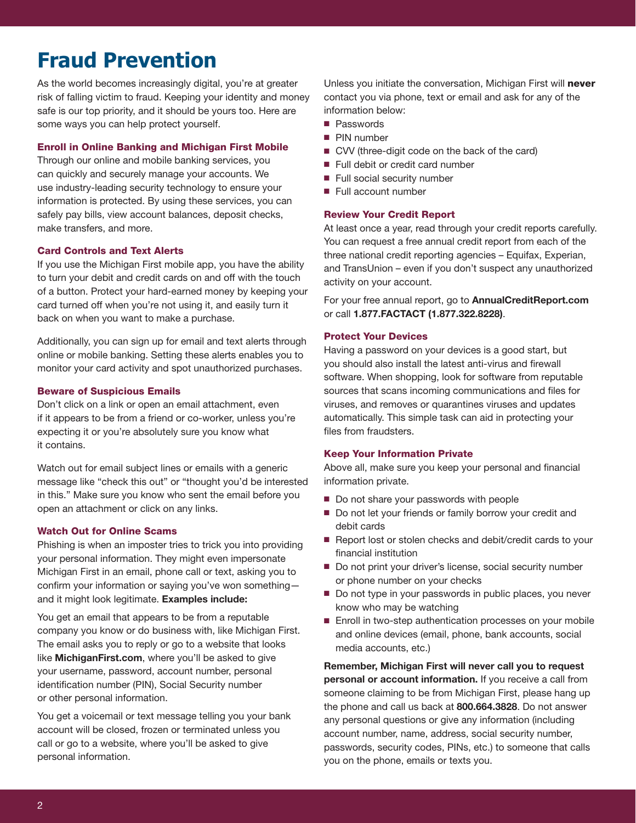# **Fraud Prevention**

As the world becomes increasingly digital, you're at greater risk of falling victim to fraud. Keeping your identity and money safe is our top priority, and it should be yours too. Here are some ways you can help protect yourself.

### Enroll in Online Banking and Michigan First Mobile

Through our online and mobile banking services, you can quickly and securely manage your accounts. We use industry-leading security technology to ensure your information is protected. By using these services, you can safely pay bills, view account balances, deposit checks, make transfers, and more.

### Card Controls and Text Alerts

If you use the Michigan First mobile app, you have the ability to turn your debit and credit cards on and off with the touch of a button. Protect your hard-earned money by keeping your card turned off when you're not using it, and easily turn it back on when you want to make a purchase.

Additionally, you can sign up for email and text alerts through online or mobile banking. Setting these alerts enables you to monitor your card activity and spot unauthorized purchases.

### Beware of Suspicious Emails

Don't click on a link or open an email attachment, even if it appears to be from a friend or co-worker, unless you're expecting it or you're absolutely sure you know what it contains.

Watch out for email subject lines or emails with a generic message like "check this out" or "thought you'd be interested in this." Make sure you know who sent the email before you open an attachment or click on any links.

### Watch Out for Online Scams

Phishing is when an imposter tries to trick you into providing your personal information. They might even impersonate Michigan First in an email, phone call or text, asking you to confirm your information or saying you've won somethingand it might look legitimate. Examples include:

You get an email that appears to be from a reputable company you know or do business with, like Michigan First. The email asks you to reply or go to a website that looks like [MichiganFirst.com](https://MichiganFirst.com), where you'll be asked to give your username, password, account number, personal identification number (PIN), Social Security number or other personal information.

You get a voicemail or text message telling you your bank account will be closed, frozen or terminated unless you call or go to a website, where you'll be asked to give personal information.

Unless you initiate the conversation, Michigan First will never contact you via phone, text or email and ask for any of the information below:

- **Passwords**
- **PIN** number
- CVV (three-digit code on the back of the card)
- Full debit or credit card number
- **Full social security number**
- **Full account number**

### Review Your Credit Report

At least once a year, read through your credit reports carefully. You can request a free annual credit report from each of the three national credit reporting agencies – Equifax, Experian, and TransUnion – even if you don't suspect any unauthorized activity on your account.

For your free annual report, go to [AnnualCreditReport.com](https://AnnualCreditReport.com) or call 1.877.FACTACT (1.877.322.8228).

### Protect Your Devices

Having a password on your devices is a good start, but you should also install the latest anti-virus and firewall software. When shopping, look for software from reputable sources that scans incoming communications and fles for viruses, and removes or quarantines viruses and updates automatically. This simple task can aid in protecting your files from fraudsters.

### Keep Your Information Private

Above all, make sure you keep your personal and financial information private.

- Do not share your passwords with people
- Do not let your friends or family borrow your credit and debit cards
- Report lost or stolen checks and debit/credit cards to your fnancial institution
- Do not print your driver's license, social security number or phone number on your checks
- Do not type in your passwords in public places, you never know who may be watching
- Enroll in two-step authentication processes on your mobile and online devices (email, phone, bank accounts, social media accounts, etc.)

Remember, Michigan First will never call you to request personal or account information. If you receive a call from someone claiming to be from Michigan First, please hang up the phone and call us back at 800.664.3828. Do not answer any personal questions or give any information (including account number, name, address, social security number, passwords, security codes, PINs, etc.) to someone that calls you on the phone, emails or texts you.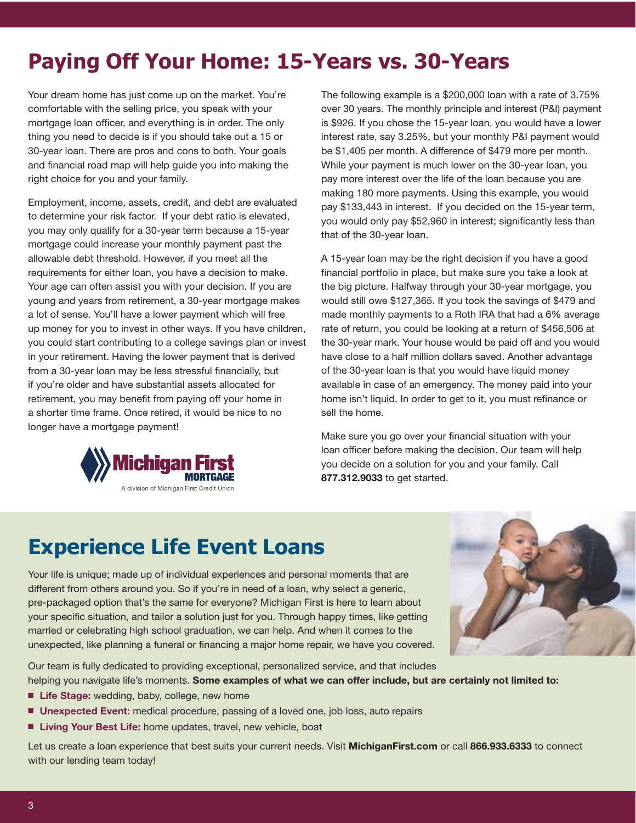# **Paying Off Your Home: 15-Years vs. 30-Years**

Your dream home has just come up on the market. You're comfortable with the selling price, you speak with your mortgage loan officer, and everything is in order. The only thing you need to decide is if you should take out a 15 or 30-year loan. There are pros and cons to both. Your goals and fnancial road map will help guide you into making the right choice for you and your family.

Employment, income, assets, credit, and debt are evaluated to determine your risk factor. If your debt ratio is elevated, you may only qualify for a 30-year term because a 15-year mortgage could increase your monthly payment past the allowable debt threshold. However, if you meet all the requirements for either loan, you have a decision to make. Your age can often assist you with your decision. If you are young and years from retirement, a 30-year mortgage makes a lot of sense. You'll have a lower payment which will free up money for you to invest in other ways. If you have children, you could start contributing to a college savings plan or invest in your retirement. Having the lower payment that is derived from a 30-year loan may be less stressful financially, but if you're older and have substantial assets allocated for retirement, you may benefit from paying off your home in a shorter time frame. Once retired, it would be nice to no longer have a mortgage payment!



The following example is a \$200,000 loan with a rate of 3.75% over 30 years. The monthly principle and interest (P&I) payment is \$926. If you chose the 15-year loan, you would have a lower interest rate, say 3.25%, but your monthly P&I payment would be \$1,405 per month. A difference of \$479 more per month. While your payment is much lower on the 30-year loan, you pay more interest over the life of the loan because you are making 180 more payments. Using this example, you would pay \$133,443 in interest. If you decided on the 15-year term, you would only pay \$52,960 in interest; significantly less than that of the 30-year loan.

A 15-year loan may be the right decision if you have a good fnancial portfolio in place, but make sure you take a look at the big picture. Halfway through your 30-year mortgage, you would still owe \$127,365. If you took the savings of \$479 and made monthly payments to a Roth IRA that had a 6% average rate of return, you could be looking at a return of \$456,506 at the 30-year mark. Your house would be paid off and you would have close to a half million dollars saved. Another advantage of the 30-year loan is that you would have liquid money available in case of an emergency. The money paid into your home isn't liquid. In order to get to it, you must refnance or sell the home.

Make sure you go over your fnancial situation with your loan officer before making the decision. Our team will help you decide on a solution for you and your family. Call 877.312.9033 to get started.

# **Experience Life Event Loans**

Your life is unique; made up of individual experiences and personal moments that are different from others around you. So if you're in need of a loan, why select a generic, pre-packaged option that's the same for everyone? Michigan First is here to learn about your specifc situation, and tailor a solution just for you. Through happy times, like getting married or celebrating high school graduation, we can help. And when it comes to the unexpected, like planning a funeral or financing a major home repair, we have you covered.



Our team is fully dedicated to providing exceptional, personalized service, and that includes helping you navigate life's moments. Some examples of what we can offer include, but are certainly not limited to:

- **Life Stage:** wedding, baby, college, new home
- **Unexpected Event:** medical procedure, passing of a loved one, job loss, auto repairs
- **Living Your Best Life:** home updates, travel, new vehicle, boat

Let us create a loan experience that best suits your current needs. Visit [MichiganFirst.com](https://MichiganFirst.com) or call 866.933.6333 to connect with our lending team today!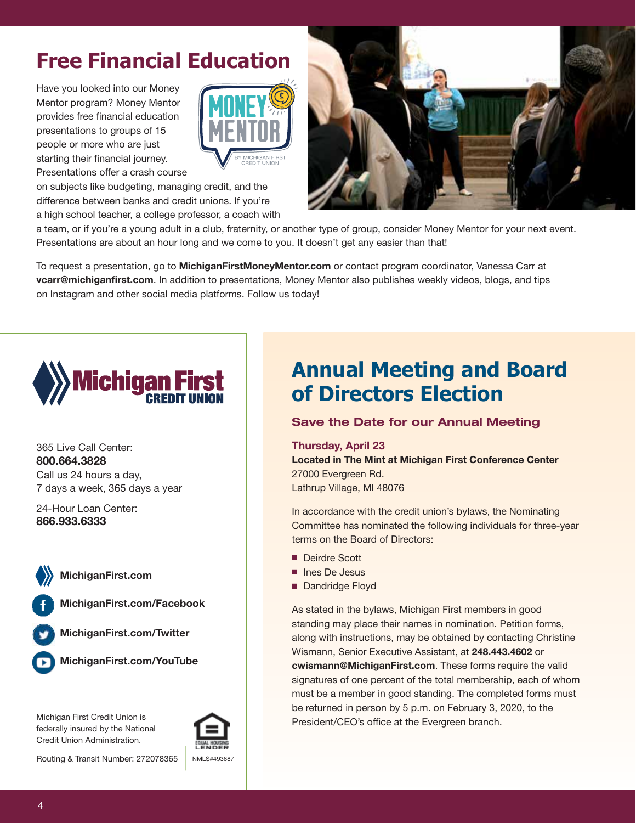# **Free Financial Education**

Have you looked into our Money Mentor program? Money Mentor provides free fnancial education presentations to groups of 15 people or more who are just starting their financial journey. Presentations offer a crash course



on subjects like budgeting, managing credit, and the difference between banks and credit unions. If you're a high school teacher, a college professor, a coach with



a team, or if you're a young adult in a club, fraternity, or another type of group, consider Money Mentor for your next event. Presentations are about an hour long and we come to you. It doesn't get any easier than that!

To request a presentation, go to **[MichiganFirstMoneyMentor.com](https://MichiganFirstMoneyMentor.com)** or contact program coordinator, Vanessa Carr at vcarr@michiganfirst.com. In addition to presentations, Money Mentor also publishes weekly videos, blogs, and tips on Instagram and other social media platforms. Follow us today!



365 Live Call Center: 800.664.3828 Call us 24 hours a day, 7 days a week, 365 days a year

24-Hour Loan Center: 866.933.6333



[MichiganFirst.com](https://MichiganFirst.com)

**0**  [MichiganFirst.com/Facebook](https://MichiganFirst.com/Facebook)

**0**  [MichiganFirst.com/Twitter](https://MichiganFirst.com/Twitter) 

**Q**  [MichiganFirst.com/YouTube](https://MichiganFirst.com/YouTube) 

Michigan First Credit Union is federally insured by the National Credit Union Administration.



Routing & Transit Number: 272078365 NMLS#493687

# **Annual Meeting and Board of Directors Election**

# **Save the Date for our Annual Meeting**

Thursday, April 23

Located in The Mint at Michigan First Conference Center 27000 Evergreen Rd. Lathrup Village, MI 48076

In accordance with the credit union's bylaws, the Nominating Committee has nominated the following individuals for three-year terms on the Board of Directors:

- Deirdre Scott
- nes De Jesus
- Dandridge Floyd

As stated in the bylaws, Michigan First members in good standing may place their names in nomination. Petition forms, along with instructions, may be obtained by contacting Christine Wismann, Senior Executive Assistant, at 248.443.4602 or [cwismann@MichiganFirst.com](mailto:cwismann@MichiganFirst.com). These forms require the valid signatures of one percent of the total membership, each of whom must be a member in good standing. The completed forms must be returned in person by 5 p.m. on February 3, 2020, to the President/CEO's office at the Evergreen branch.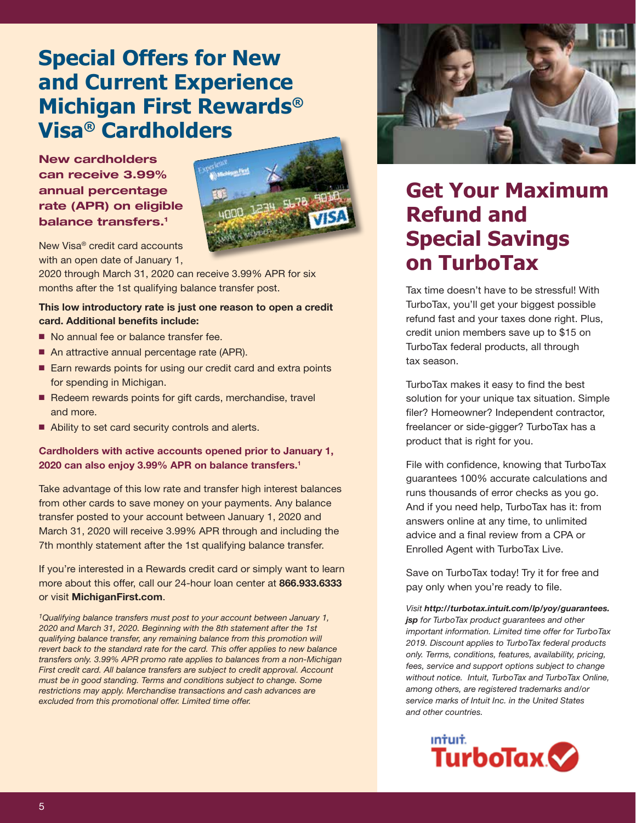# **Special Offers for New and Current Experience Michigan First Rewards® Visa® Cardholders**

# **New cardholders can receive 3.99% annual percentage rate (APR) on eligible balance transfers.1**



New Visa® credit card accounts with an open date of January 1,

2020 through March 31, 2020 can receive 3.99% APR for six months after the 1st qualifying balance transfer post.

### This low introductory rate is just one reason to open a credit card. Additional benefits include:

- No annual fee or balance transfer fee.
- An attractive annual percentage rate (APR).
- Earn rewards points for using our credit card and extra points for spending in Michigan.
- Redeem rewards points for gift cards, merchandise, travel and more.
- Ability to set card security controls and alerts.

## Cardholders with active accounts opened prior to January 1, 2020 can also enjoy 3.99% APR on balance transfers.1

Take advantage of this low rate and transfer high interest balances from other cards to save money on your payments. Any balance transfer posted to your account between January 1, 2020 and March 31, 2020 will receive 3.99% APR through and including the 7th monthly statement after the 1st qualifying balance transfer.

If you're interested in a Rewards credit card or simply want to learn more about this offer, call our 24-hour loan center at 866.933.6333 or visit [MichiganFirst.com](https://MichiganFirst.com).

*1Qualifying balance transfers must post to your account between January 1, 2020 and March 31, 2020. Beginning with the 8th statement after the 1st qualifying balance transfer, any remaining balance from this promotion will revert back to the standard rate for the card. This offer applies to new balance transfers only. 3.99% APR promo rate applies to balances from a non-Michigan First credit card. All balance transfers are subject to credit approval. Account must be in good standing. Terms and conditions subject to change. Some restrictions may apply. Merchandise transactions and cash advances are excluded from this promotional offer. Limited time offer.* 



# **Get Your Maximum Refund and Special Savings on TurboTax**

Tax time doesn't have to be stressful! With TurboTax, you'll get your biggest possible refund fast and your taxes done right. Plus, credit union members save up to \$15 on TurboTax federal products, all through tax season.

TurboTax makes it easy to find the best solution for your unique tax situation. Simple filer? Homeowner? Independent contractor, freelancer or side-gigger? TurboTax has a product that is right for you.

File with confidence, knowing that TurboTax guarantees 100% accurate calculations and runs thousands of error checks as you go. And if you need help, TurboTax has it: from answers online at any time, to unlimited advice and a final review from a CPA or Enrolled Agent with TurboTax Live.

Save on TurboTax today! Try it for free and pay only when you're ready to file.

*Visit [http://turbotax.intuit.com/lp/yoy/guarantees.](http://turbotax.intuit.com/lp/yoy/guarantees) jsp for TurboTax product guarantees and other important information. Limited time offer for TurboTax 2019. Discount applies to TurboTax federal products only. Terms, conditions, features, availability, pricing, fees, service and support options subject to change without notice. Intuit, TurboTax and TurboTax Online, among others, are registered trademarks and/or service marks of Intuit Inc. in the United States and other countries.* 

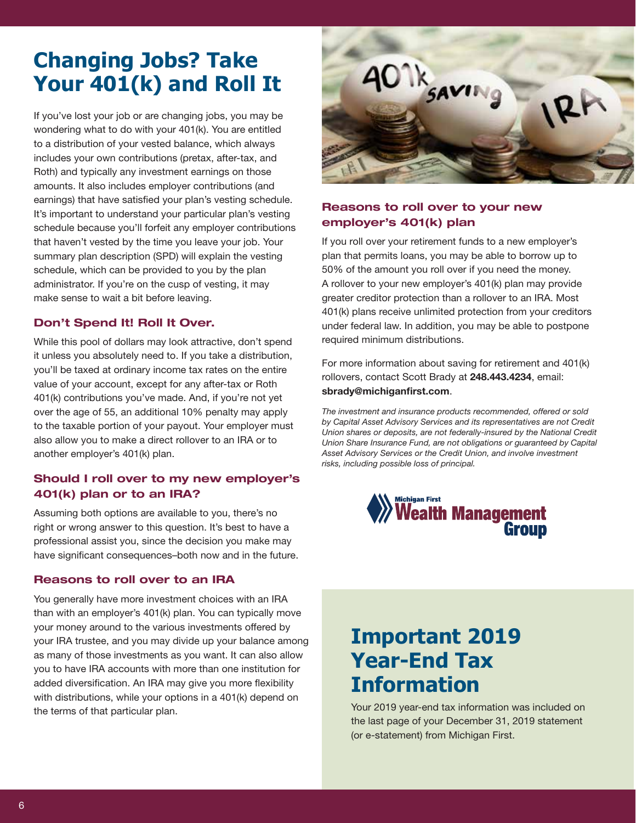# **Changing Jobs? Take Your 401(k) and Roll It**

If you've lost your job or are changing jobs, you may be wondering what to do with your 401(k). You are entitled to a distribution of your vested balance, which always includes your own contributions (pretax, after-tax, and Roth) and typically any investment earnings on those amounts. It also includes employer contributions (and earnings) that have satisfed your plan's vesting schedule. It's important to understand your particular plan's vesting schedule because you'll forfeit any employer contributions that haven't vested by the time you leave your job. Your summary plan description (SPD) will explain the vesting schedule, which can be provided to you by the plan administrator. If you're on the cusp of vesting, it may make sense to wait a bit before leaving.

# **Don't Spend It! Roll It Over.**

While this pool of dollars may look attractive, don't spend it unless you absolutely need to. If you take a distribution, you'll be taxed at ordinary income tax rates on the entire value of your account, except for any after-tax or Roth 401(k) contributions you've made. And, if you're not yet over the age of 55, an additional 10% penalty may apply to the taxable portion of your payout. Your employer must also allow you to make a direct rollover to an IRA or to another employer's 401(k) plan.

# **Should I roll over to my new employer's 401(k) plan or to an IRA?**

Assuming both options are available to you, there's no right or wrong answer to this question. It's best to have a professional assist you, since the decision you make may have significant consequences-both now and in the future.

### **Reasons to roll over to an IRA**

You generally have more investment choices with an IRA than with an employer's 401(k) plan. You can typically move your money around to the various investments offered by your IRA trustee, and you may divide up your balance among as many of those investments as you want. It can also allow you to have IRA accounts with more than one institution for added diversification. An IRA may give you more flexibility with distributions, while your options in a 401(k) depend on the terms of that particular plan.



# **Reasons to roll over to your new employer's 401(k) plan**

If you roll over your retirement funds to a new employer's plan that permits loans, you may be able to borrow up to 50% of the amount you roll over if you need the money. A rollover to your new employer's 401(k) plan may provide greater creditor protection than a rollover to an IRA. Most 401(k) plans receive unlimited protection from your creditors under federal law. In addition, you may be able to postpone required minimum distributions.

For more information about saving for retirement and 401(k) rollovers, contact Scott Brady at 248.443.4234, email: sbrady@michiganfirst.com.

*The investment and insurance products recommended, offered or sold by Capital Asset Advisory Services and its representatives are not Credit Union shares or deposits, are not federally-insured by the National Credit Union Share Insurance Fund, are not obligations or guaranteed by Capital Asset Advisory Services or the Credit Union, and involve investment risks, including possible loss of principal.* 



# **Important 2019 Year-End Tax Information**

Your 2019 year-end tax information was included on the last page of your December 31, 2019 statement (or e-statement) from Michigan First.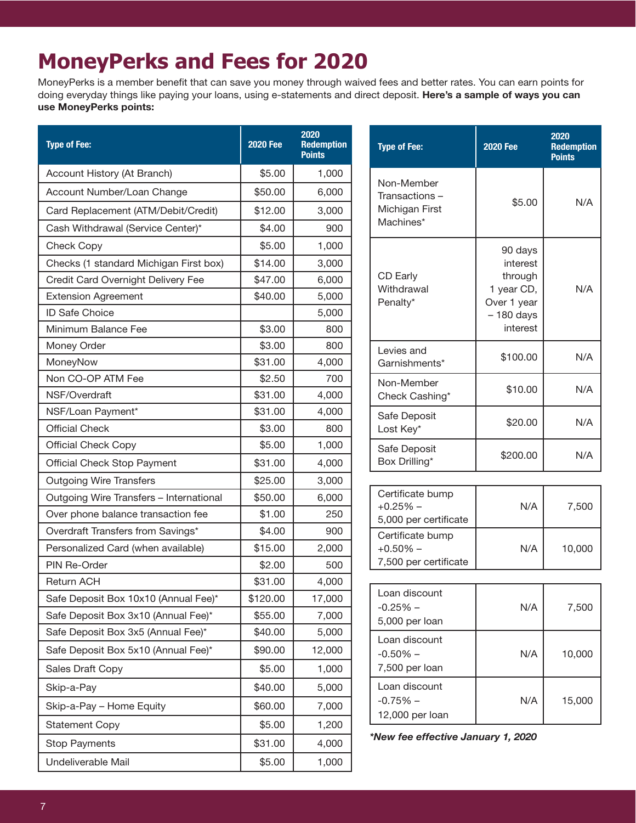# **MoneyPerks and Fees for 2020**

MoneyPerks is a member benefit that can save you money through waived fees and better rates. You can earn points for doing everyday things like paying your loans, using e-statements and direct deposit. Here's a sample of ways you can use MoneyPerks points:

| <b>Type of Fee:</b>                     | <b>2020 Fee</b> | 2020<br><b>Redemption</b><br><b>Points</b> | <b>Type of Fee:</b>                | <b>2020 Fee</b>                                                                        | 2020<br><b>Redemption</b><br><b>Points</b> |
|-----------------------------------------|-----------------|--------------------------------------------|------------------------------------|----------------------------------------------------------------------------------------|--------------------------------------------|
| Account History (At Branch)             | \$5.00          | 1,000                                      |                                    | \$5.00                                                                                 | N/A                                        |
| Account Number/Loan Change              | \$50.00         | 6,000                                      | Non-Member<br>Transactions-        |                                                                                        |                                            |
| Card Replacement (ATM/Debit/Credit)     | \$12.00         | 3,000                                      | Michigan First                     |                                                                                        |                                            |
| Cash Withdrawal (Service Center)*       | \$4.00          | 900                                        | Machines*                          |                                                                                        |                                            |
| Check Copy                              | \$5.00          | 1,000                                      |                                    | 90 days<br>interest<br>through<br>1 year CD,<br>Over 1 year<br>$-180$ days<br>interest | N/A                                        |
| Checks (1 standard Michigan First box)  | \$14.00         | 3,000                                      |                                    |                                                                                        |                                            |
| Credit Card Overnight Delivery Fee      | \$47.00         | 6,000                                      | CD Early                           |                                                                                        |                                            |
| <b>Extension Agreement</b>              | \$40.00         | 5,000                                      | Withdrawal<br>Penalty*             |                                                                                        |                                            |
| ID Safe Choice                          |                 | 5,000                                      |                                    |                                                                                        |                                            |
| Minimum Balance Fee                     | \$3.00          | 800                                        |                                    |                                                                                        |                                            |
| Money Order                             | \$3.00          | 800                                        | Levies and                         | \$100.00                                                                               | N/A                                        |
| MoneyNow                                | \$31.00         | 4,000                                      | Garnishments*                      |                                                                                        |                                            |
| Non CO-OP ATM Fee                       | \$2.50          | 700                                        | Non-Member                         | \$10.00                                                                                | N/A                                        |
| NSF/Overdraft                           | \$31.00         | 4,000                                      | Check Cashing*                     |                                                                                        |                                            |
| NSF/Loan Payment*                       | \$31.00         | 4,000                                      | Safe Deposit                       | \$20.00                                                                                | N/A                                        |
| <b>Official Check</b>                   | \$3.00          | 800                                        | Lost Key*                          |                                                                                        |                                            |
| <b>Official Check Copy</b>              | \$5.00          | 1,000                                      | Safe Deposit                       | \$200.00                                                                               | N/A                                        |
| <b>Official Check Stop Payment</b>      | \$31.00         | 4,000                                      | Box Drilling*                      |                                                                                        |                                            |
| <b>Outgoing Wire Transfers</b>          | \$25.00         | 3,000                                      |                                    |                                                                                        |                                            |
| Outgoing Wire Transfers - International | \$50.00         | 6,000                                      | Certificate bump<br>$+0.25%$ -     | N/A                                                                                    | 7,500                                      |
| Over phone balance transaction fee      | \$1.00          | 250                                        | 5,000 per certificate              |                                                                                        |                                            |
| Overdraft Transfers from Savings*       | \$4.00          | 900                                        | Certificate bump                   | N/A                                                                                    | 10,000                                     |
| Personalized Card (when available)      | \$15.00         | 2,000                                      | $+0.50%$ -                         |                                                                                        |                                            |
| PIN Re-Order                            | \$2.00          | 500                                        | 7,500 per certificate              |                                                                                        |                                            |
| <b>Return ACH</b>                       | \$31.00         | 4,000                                      |                                    |                                                                                        |                                            |
| Safe Deposit Box 10x10 (Annual Fee)*    | \$120.00        | 17,000                                     | Loan discount<br>$-0.25%$ -        | N/A                                                                                    | 7,500                                      |
| Safe Deposit Box 3x10 (Annual Fee)*     | \$55.00         | 7,000                                      | 5,000 per loan                     |                                                                                        |                                            |
| Safe Deposit Box 3x5 (Annual Fee)*      | \$40.00         | 5,000                                      | Loan discount                      | N/A                                                                                    | 10,000                                     |
| Safe Deposit Box 5x10 (Annual Fee)*     | \$90.00         | 12,000                                     | $-0.50%$ -                         |                                                                                        |                                            |
| <b>Sales Draft Copy</b>                 | \$5.00          | 1,000                                      | 7,500 per loan                     |                                                                                        |                                            |
| Skip-a-Pay                              | \$40.00         | 5,000                                      | Loan discount                      | N/A                                                                                    | 15,000                                     |
| Skip-a-Pay - Home Equity                | \$60.00         | 7,000                                      | $-0.75%$ -                         |                                                                                        |                                            |
| <b>Statement Copy</b>                   | \$5.00          | 1,200                                      | 12,000 per loan                    |                                                                                        |                                            |
| <b>Stop Payments</b>                    | \$31.00         | 4,000                                      | *New fee effective January 1, 2020 |                                                                                        |                                            |
| Undeliverable Mail                      | \$5.00          | 1,000                                      |                                    |                                                                                        |                                            |